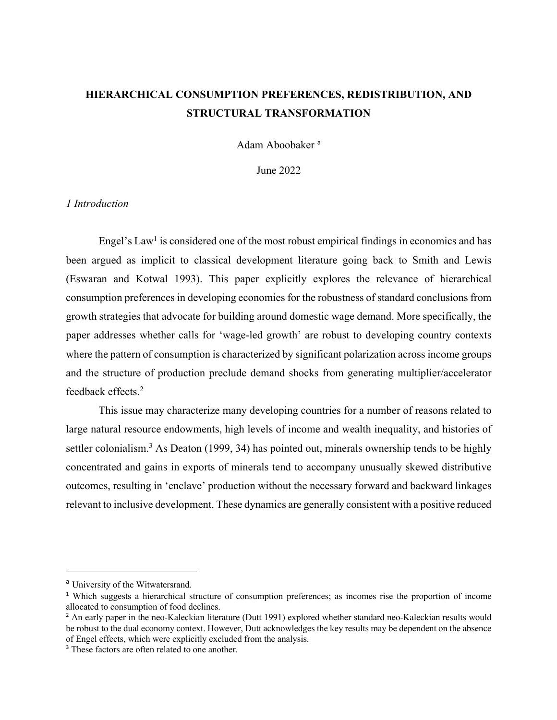# **HIERARCHICAL CONSUMPTION PREFERENCES, REDISTRIBUTION, AND STRUCTURAL TRANSFORMATION**

Adam Aboobaker<sup>a</sup>

June 2022

## *1 Introduction*

Engel's  $Law<sup>1</sup>$  is considered one of the most robust empirical findings in economics and has been argued as implicit to classical development literature going back to Smith and Lewis (Eswaran and Kotwal 1993). This paper explicitly explores the relevance of hierarchical consumption preferences in developing economies for the robustness of standard conclusions from growth strategies that advocate for building around domestic wage demand. More specifically, the paper addresses whether calls for 'wage-led growth' are robust to developing country contexts where the pattern of consumption is characterized by significant polarization across income groups and the structure of production preclude demand shocks from generating multiplier/accelerator feedback effects.<sup>2</sup>

This issue may characterize many developing countries for a number of reasons related to large natural resource endowments, high levels of income and wealth inequality, and histories of settler colonialism.<sup>3</sup> As Deaton (1999, 34) has pointed out, minerals ownership tends to be highly concentrated and gains in exports of minerals tend to accompany unusually skewed distributive outcomes, resulting in 'enclave' production without the necessary forward and backward linkages relevant to inclusive development. These dynamics are generally consistent with a positive reduced

<sup>&</sup>lt;sup>a</sup> University of the Witwatersrand.

<sup>1</sup> Which suggests a hierarchical structure of consumption preferences; as incomes rise the proportion of income allocated to consumption of food declines.

<sup>&</sup>lt;sup>2</sup> An early paper in the neo-Kaleckian literature (Dutt 1991) explored whether standard neo-Kaleckian results would be robust to the dual economy context. However, Dutt acknowledges the key results may be dependent on the absence of Engel effects, which were explicitly excluded from the analysis.

<sup>&</sup>lt;sup>3</sup> These factors are often related to one another.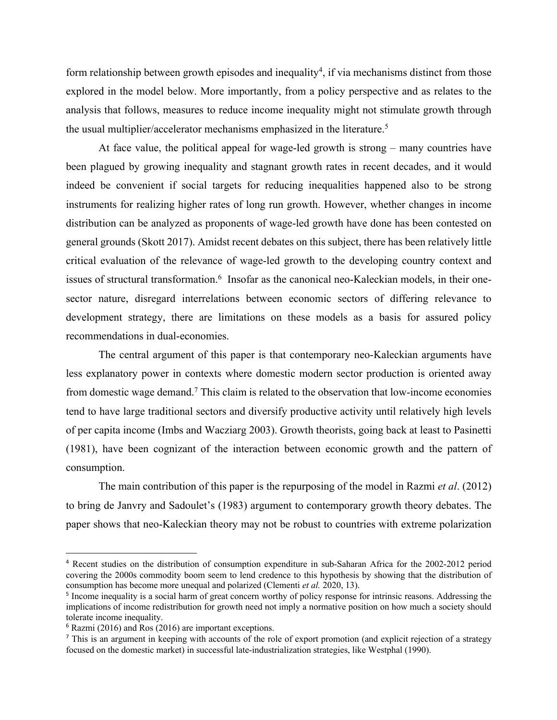form relationship between growth episodes and inequality<sup>4</sup>, if via mechanisms distinct from those explored in the model below. More importantly, from a policy perspective and as relates to the analysis that follows, measures to reduce income inequality might not stimulate growth through the usual multiplier/accelerator mechanisms emphasized in the literature.<sup>5</sup>

At face value, the political appeal for wage-led growth is strong – many countries have been plagued by growing inequality and stagnant growth rates in recent decades, and it would indeed be convenient if social targets for reducing inequalities happened also to be strong instruments for realizing higher rates of long run growth. However, whether changes in income distribution can be analyzed as proponents of wage-led growth have done has been contested on general grounds (Skott 2017). Amidst recent debates on this subject, there has been relatively little critical evaluation of the relevance of wage-led growth to the developing country context and issues of structural transformation.<sup>6</sup> Insofar as the canonical neo-Kaleckian models, in their onesector nature, disregard interrelations between economic sectors of differing relevance to development strategy, there are limitations on these models as a basis for assured policy recommendations in dual-economies.

The central argument of this paper is that contemporary neo-Kaleckian arguments have less explanatory power in contexts where domestic modern sector production is oriented away from domestic wage demand.7 This claim is related to the observation that low-income economies tend to have large traditional sectors and diversify productive activity until relatively high levels of per capita income (Imbs and Wacziarg 2003). Growth theorists, going back at least to Pasinetti (1981), have been cognizant of the interaction between economic growth and the pattern of consumption.

The main contribution of this paper is the repurposing of the model in Razmi *et al*. (2012) to bring de Janvry and Sadoulet's (1983) argument to contemporary growth theory debates. The paper shows that neo-Kaleckian theory may not be robust to countries with extreme polarization

<sup>4</sup> Recent studies on the distribution of consumption expenditure in sub-Saharan Africa for the 2002-2012 period covering the 2000s commodity boom seem to lend credence to this hypothesis by showing that the distribution of consumption has become more unequal and polarized (Clementi *et al.* 2020, 13).

<sup>5</sup> Income inequality is a social harm of great concern worthy of policy response for intrinsic reasons. Addressing the implications of income redistribution for growth need not imply a normative position on how much a society should tolerate income inequality.

<sup>6</sup> Razmi (2016) and Ros (2016) are important exceptions.

<sup>7</sup> This is an argument in keeping with accounts of the role of export promotion (and explicit rejection of a strategy focused on the domestic market) in successful late-industrialization strategies, like Westphal (1990).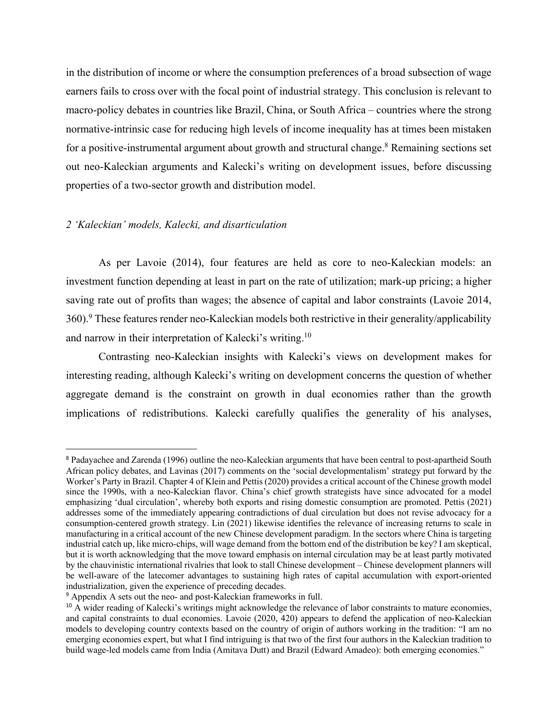in the distribution of income or where the consumption preferences of a broad subsection of wage earners fails to cross over with the focal point of industrial strategy. This conclusion is relevant to macro-policy debates in countries like Brazil, China, or South Africa – countries where the strong normative-intrinsic case for reducing high levels of income inequality has at times been mistaken for a positive-instrumental argument about growth and structural change.<sup>8</sup> Remaining sections set out neo-Kaleckian arguments and Kalecki's writing on development issues, before discussing properties of a two-sector growth and distribution model.

#### *2 'Kaleckian' models, Kalecki, and disarticulation*

As per Lavoie (2014), four features are held as core to neo-Kaleckian models: an investment function depending at least in part on the rate of utilization; mark-up pricing; a higher saving rate out of profits than wages; the absence of capital and labor constraints (Lavoie 2014, 360).9 These features render neo-Kaleckian models both restrictive in their generality/applicability and narrow in their interpretation of Kalecki's writing.10

Contrasting neo-Kaleckian insights with Kalecki's views on development makes for interesting reading, although Kalecki's writing on development concerns the question of whether aggregate demand is the constraint on growth in dual economies rather than the growth implications of redistributions. Kalecki carefully qualifies the generality of his analyses,

<sup>8</sup> Padayachee and Zarenda (1996) outline the neo-Kaleckian arguments that have been central to post-apartheid South African policy debates, and Lavinas (2017) comments on the 'social developmentalism' strategy put forward by the Worker's Party in Brazil. Chapter 4 of Klein and Pettis (2020) provides a critical account of the Chinese growth model since the 1990s, with a neo-Kaleckian flavor. China's chief growth strategists have since advocated for a model emphasizing 'dual circulation', whereby both exports and rising domestic consumption are promoted. Pettis (2021) addresses some of the immediately appearing contradictions of dual circulation but does not revise advocacy for a consumption-centered growth strategy. Lin (2021) likewise identifies the relevance of increasing returns to scale in manufacturing in a critical account of the new Chinese development paradigm. In the sectors where China is targeting industrial catch up, like micro-chips, will wage demand from the bottom end of the distribution be key? I am skeptical, but it is worth acknowledging that the move toward emphasis on internal circulation may be at least partly motivated by the chauvinistic international rivalries that look to stall Chinese development – Chinese development planners will be well-aware of the latecomer advantages to sustaining high rates of capital accumulation with export-oriented industrialization, given the experience of preceding decades.

<sup>9</sup> Appendix A sets out the neo- and post-Kaleckian frameworks in full.

<sup>&</sup>lt;sup>10</sup> A wider reading of Kalecki's writings might acknowledge the relevance of labor constraints to mature economies, and capital constraints to dual economies. Lavoie (2020, 420) appears to defend the application of neo-Kaleckian models to developing country contexts based on the country of origin of authors working in the tradition: "I am no emerging economies expert, but what I find intriguing is that two of the first four authors in the Kaleckian tradition to build wage-led models came from India (Amitava Dutt) and Brazil (Edward Amadeo): both emerging economies."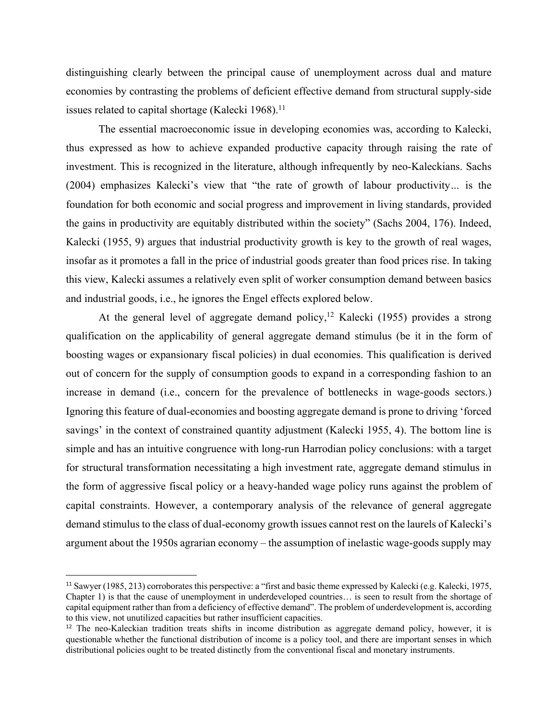distinguishing clearly between the principal cause of unemployment across dual and mature economies by contrasting the problems of deficient effective demand from structural supply-side issues related to capital shortage (Kalecki 1968).<sup>11</sup>

The essential macroeconomic issue in developing economies was, according to Kalecki, thus expressed as how to achieve expanded productive capacity through raising the rate of investment. This is recognized in the literature, although infrequently by neo-Kaleckians. Sachs (2004) emphasizes Kalecki's view that "the rate of growth of labour productivity*…* is the foundation for both economic and social progress and improvement in living standards, provided the gains in productivity are equitably distributed within the society" (Sachs 2004, 176). Indeed, Kalecki (1955, 9) argues that industrial productivity growth is key to the growth of real wages, insofar as it promotes a fall in the price of industrial goods greater than food prices rise. In taking this view, Kalecki assumes a relatively even split of worker consumption demand between basics and industrial goods, i.e., he ignores the Engel effects explored below.

At the general level of aggregate demand policy,<sup>12</sup> Kalecki (1955) provides a strong qualification on the applicability of general aggregate demand stimulus (be it in the form of boosting wages or expansionary fiscal policies) in dual economies. This qualification is derived out of concern for the supply of consumption goods to expand in a corresponding fashion to an increase in demand (i.e., concern for the prevalence of bottlenecks in wage-goods sectors.) Ignoring this feature of dual-economies and boosting aggregate demand is prone to driving 'forced savings' in the context of constrained quantity adjustment (Kalecki 1955, 4). The bottom line is simple and has an intuitive congruence with long-run Harrodian policy conclusions: with a target for structural transformation necessitating a high investment rate, aggregate demand stimulus in the form of aggressive fiscal policy or a heavy-handed wage policy runs against the problem of capital constraints. However, a contemporary analysis of the relevance of general aggregate demand stimulus to the class of dual-economy growth issues cannot rest on the laurels of Kalecki's argument about the 1950s agrarian economy – the assumption of inelastic wage-goods supply may

<sup>11</sup> Sawyer (1985, 213) corroborates this perspective: a "first and basic theme expressed by Kalecki (e.g. Kalecki, 1975, Chapter 1) is that the cause of unemployment in underdeveloped countries… is seen to result from the shortage of capital equipment rather than from a deficiency of effective demand". The problem of underdevelopment is, according to this view, not unutilized capacities but rather insufficient capacities.

<sup>12</sup> The neo-Kaleckian tradition treats shifts in income distribution as aggregate demand policy, however, it is questionable whether the functional distribution of income is a policy tool, and there are important senses in which distributional policies ought to be treated distinctly from the conventional fiscal and monetary instruments.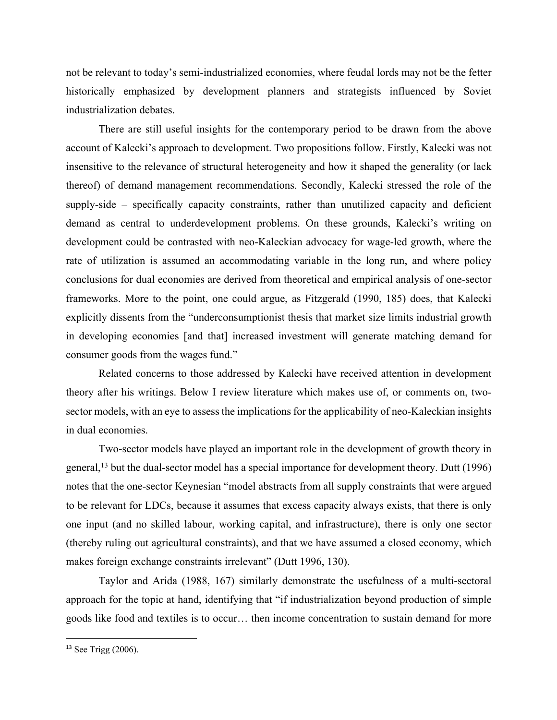not be relevant to today's semi-industrialized economies, where feudal lords may not be the fetter historically emphasized by development planners and strategists influenced by Soviet industrialization debates.

There are still useful insights for the contemporary period to be drawn from the above account of Kalecki's approach to development. Two propositions follow. Firstly, Kalecki was not insensitive to the relevance of structural heterogeneity and how it shaped the generality (or lack thereof) of demand management recommendations. Secondly, Kalecki stressed the role of the supply-side – specifically capacity constraints, rather than unutilized capacity and deficient demand as central to underdevelopment problems. On these grounds, Kalecki's writing on development could be contrasted with neo-Kaleckian advocacy for wage-led growth, where the rate of utilization is assumed an accommodating variable in the long run, and where policy conclusions for dual economies are derived from theoretical and empirical analysis of one-sector frameworks. More to the point, one could argue, as Fitzgerald (1990, 185) does, that Kalecki explicitly dissents from the "underconsumptionist thesis that market size limits industrial growth in developing economies [and that] increased investment will generate matching demand for consumer goods from the wages fund."

Related concerns to those addressed by Kalecki have received attention in development theory after his writings. Below I review literature which makes use of, or comments on, twosector models, with an eye to assess the implications for the applicability of neo-Kaleckian insights in dual economies.

Two-sector models have played an important role in the development of growth theory in general,<sup>13</sup> but the dual-sector model has a special importance for development theory. Dutt (1996) notes that the one-sector Keynesian "model abstracts from all supply constraints that were argued to be relevant for LDCs, because it assumes that excess capacity always exists, that there is only one input (and no skilled labour, working capital, and infrastructure), there is only one sector (thereby ruling out agricultural constraints), and that we have assumed a closed economy, which makes foreign exchange constraints irrelevant" (Dutt 1996, 130).

Taylor and Arida (1988, 167) similarly demonstrate the usefulness of a multi-sectoral approach for the topic at hand, identifying that "if industrialization beyond production of simple goods like food and textiles is to occur… then income concentration to sustain demand for more

<sup>13</sup> See Trigg (2006).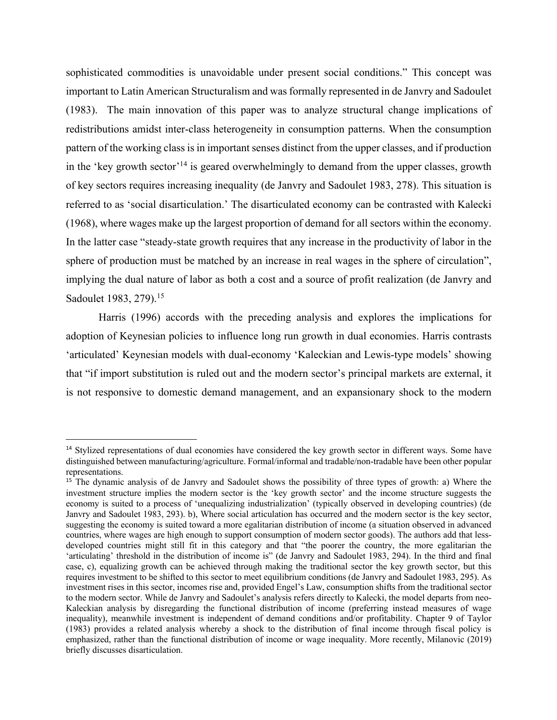sophisticated commodities is unavoidable under present social conditions." This concept was important to Latin American Structuralism and was formally represented in de Janvry and Sadoulet (1983). The main innovation of this paper was to analyze structural change implications of redistributions amidst inter-class heterogeneity in consumption patterns. When the consumption pattern of the working class is in important senses distinct from the upper classes, and if production in the 'key growth sector'<sup>14</sup> is geared overwhelmingly to demand from the upper classes, growth of key sectors requires increasing inequality (de Janvry and Sadoulet 1983, 278). This situation is referred to as 'social disarticulation.' The disarticulated economy can be contrasted with Kalecki (1968), where wages make up the largest proportion of demand for all sectors within the economy. In the latter case "steady-state growth requires that any increase in the productivity of labor in the sphere of production must be matched by an increase in real wages in the sphere of circulation", implying the dual nature of labor as both a cost and a source of profit realization (de Janvry and Sadoulet 1983, 279).<sup>15</sup>

Harris (1996) accords with the preceding analysis and explores the implications for adoption of Keynesian policies to influence long run growth in dual economies. Harris contrasts 'articulated' Keynesian models with dual-economy 'Kaleckian and Lewis-type models' showing that "if import substitution is ruled out and the modern sector's principal markets are external, it is not responsive to domestic demand management, and an expansionary shock to the modern

<sup>&</sup>lt;sup>14</sup> Stylized representations of dual economies have considered the key growth sector in different ways. Some have distinguished between manufacturing/agriculture. Formal/informal and tradable/non-tradable have been other popular representations.

<sup>15</sup> The dynamic analysis of de Janvry and Sadoulet shows the possibility of three types of growth: a) Where the investment structure implies the modern sector is the 'key growth sector' and the income structure suggests the economy is suited to a process of 'unequalizing industrialization' (typically observed in developing countries) (de Janvry and Sadoulet 1983, 293). b), Where social articulation has occurred and the modern sector is the key sector, suggesting the economy is suited toward a more egalitarian distribution of income (a situation observed in advanced countries, where wages are high enough to support consumption of modern sector goods). The authors add that lessdeveloped countries might still fit in this category and that "the poorer the country, the more egalitarian the 'articulating' threshold in the distribution of income is" (de Janvry and Sadoulet 1983, 294). In the third and final case, c), equalizing growth can be achieved through making the traditional sector the key growth sector, but this requires investment to be shifted to this sector to meet equilibrium conditions (de Janvry and Sadoulet 1983, 295). As investment rises in this sector, incomes rise and, provided Engel's Law, consumption shifts from the traditional sector to the modern sector. While de Janvry and Sadoulet's analysis refers directly to Kalecki, the model departs from neo-Kaleckian analysis by disregarding the functional distribution of income (preferring instead measures of wage inequality), meanwhile investment is independent of demand conditions and/or profitability. Chapter 9 of Taylor (1983) provides a related analysis whereby a shock to the distribution of final income through fiscal policy is emphasized, rather than the functional distribution of income or wage inequality. More recently, Milanovic (2019) briefly discusses disarticulation.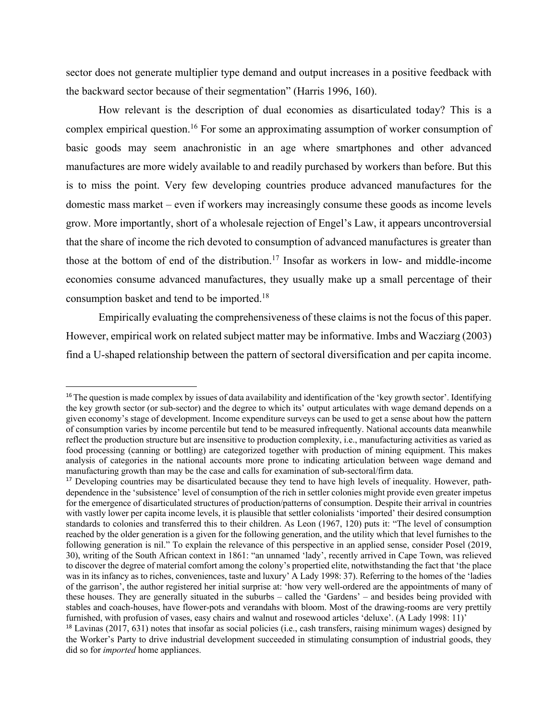sector does not generate multiplier type demand and output increases in a positive feedback with the backward sector because of their segmentation" (Harris 1996, 160).

How relevant is the description of dual economies as disarticulated today? This is a complex empirical question.16 For some an approximating assumption of worker consumption of basic goods may seem anachronistic in an age where smartphones and other advanced manufactures are more widely available to and readily purchased by workers than before. But this is to miss the point. Very few developing countries produce advanced manufactures for the domestic mass market – even if workers may increasingly consume these goods as income levels grow. More importantly, short of a wholesale rejection of Engel's Law, it appears uncontroversial that the share of income the rich devoted to consumption of advanced manufactures is greater than those at the bottom of end of the distribution.17 Insofar as workers in low- and middle-income economies consume advanced manufactures, they usually make up a small percentage of their consumption basket and tend to be imported.18

Empirically evaluating the comprehensiveness of these claims is not the focus of this paper. However, empirical work on related subject matter may be informative. Imbs and Wacziarg (2003) find a U-shaped relationship between the pattern of sectoral diversification and per capita income.

<sup>&</sup>lt;sup>16</sup>The question is made complex by issues of data availability and identification of the 'key growth sector'. Identifying the key growth sector (or sub-sector) and the degree to which its' output articulates with wage demand depends on a given economy's stage of development. Income expenditure surveys can be used to get a sense about how the pattern of consumption varies by income percentile but tend to be measured infrequently. National accounts data meanwhile reflect the production structure but are insensitive to production complexity, i.e., manufacturing activities as varied as food processing (canning or bottling) are categorized together with production of mining equipment. This makes analysis of categories in the national accounts more prone to indicating articulation between wage demand and manufacturing growth than may be the case and calls for examination of sub-sectoral/firm data.

<sup>&</sup>lt;sup>17</sup> Developing countries may be disarticulated because they tend to have high levels of inequality. However, pathdependence in the 'subsistence' level of consumption of the rich in settler colonies might provide even greater impetus for the emergence of disarticulated structures of production/patterns of consumption. Despite their arrival in countries with vastly lower per capita income levels, it is plausible that settler colonialists 'imported' their desired consumption standards to colonies and transferred this to their children. As Leon (1967, 120) puts it: "The level of consumption reached by the older generation is a given for the following generation, and the utility which that level furnishes to the following generation is nil." To explain the relevance of this perspective in an applied sense, consider Posel (2019, 30), writing of the South African context in 1861: "an unnamed 'lady', recently arrived in Cape Town, was relieved to discover the degree of material comfort among the colony's propertied elite, notwithstanding the fact that 'the place was in its infancy as to riches, conveniences, taste and luxury' A Lady 1998: 37). Referring to the homes of the 'ladies of the garrison', the author registered her initial surprise at: 'how very well-ordered are the appointments of many of these houses. They are generally situated in the suburbs – called the 'Gardens' – and besides being provided with stables and coach-houses, have flower-pots and verandahs with bloom. Most of the drawing-rooms are very prettily furnished, with profusion of vases, easy chairs and walnut and rosewood articles 'deluxe'. (A Lady 1998: 11)'

<sup>&</sup>lt;sup>18</sup> Lavinas (2017, 631) notes that insofar as social policies (i.e., cash transfers, raising minimum wages) designed by the Worker's Party to drive industrial development succeeded in stimulating consumption of industrial goods, they did so for *imported* home appliances.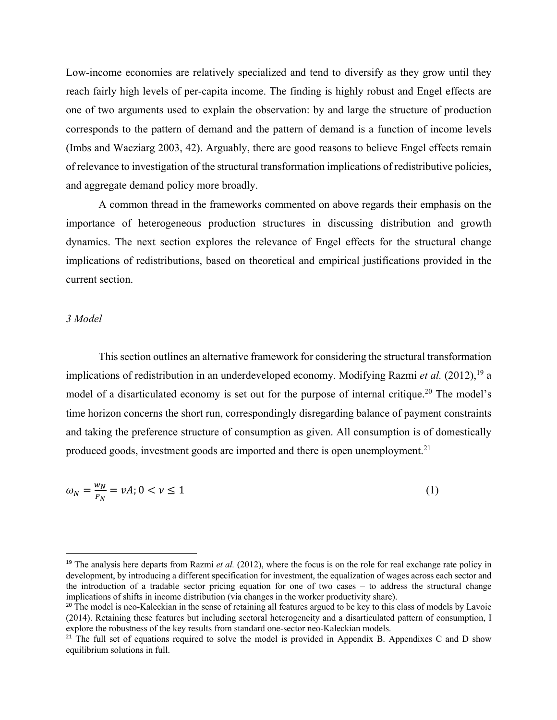Low-income economies are relatively specialized and tend to diversify as they grow until they reach fairly high levels of per-capita income. The finding is highly robust and Engel effects are one of two arguments used to explain the observation: by and large the structure of production corresponds to the pattern of demand and the pattern of demand is a function of income levels (Imbs and Wacziarg 2003, 42). Arguably, there are good reasons to believe Engel effects remain of relevance to investigation of the structural transformation implications of redistributive policies, and aggregate demand policy more broadly.

A common thread in the frameworks commented on above regards their emphasis on the importance of heterogeneous production structures in discussing distribution and growth dynamics. The next section explores the relevance of Engel effects for the structural change implications of redistributions, based on theoretical and empirical justifications provided in the current section.

#### *3 Model*

This section outlines an alternative framework for considering the structural transformation implications of redistribution in an underdeveloped economy. Modifying Razmi *et al.* (2012), <sup>19</sup> a model of a disarticulated economy is set out for the purpose of internal critique.<sup>20</sup> The model's time horizon concerns the short run, correspondingly disregarding balance of payment constraints and taking the preference structure of consumption as given. All consumption is of domestically produced goods, investment goods are imported and there is open unemployment.<sup>21</sup>

$$
\omega_N = \frac{w_N}{P_N} = \nu A; 0 < \nu \le 1 \tag{1}
$$

<sup>&</sup>lt;sup>19</sup> The analysis here departs from Razmi et al. (2012), where the focus is on the role for real exchange rate policy in development, by introducing a different specification for investment, the equalization of wages across each sector and the introduction of a tradable sector pricing equation for one of two cases – to address the structural change implications of shifts in income distribution (via changes in the worker productivity share).

<sup>&</sup>lt;sup>20</sup> The model is neo-Kaleckian in the sense of retaining all features argued to be key to this class of models by Lavoie (2014). Retaining these features but including sectoral heterogeneity and a disarticulated pattern of consumption, I explore the robustness of the key results from standard one-sector neo-Kaleckian models.

<sup>&</sup>lt;sup>21</sup> The full set of equations required to solve the model is provided in Appendix B. Appendixes C and D show equilibrium solutions in full.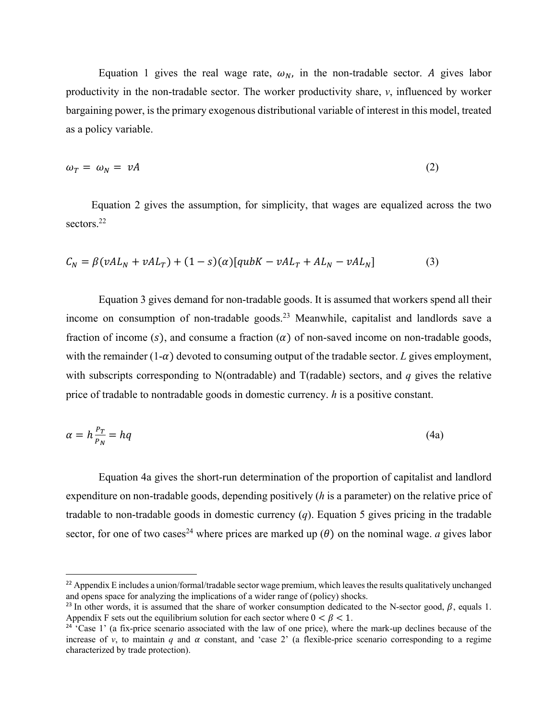Equation 1 gives the real wage rate,  $\omega_N$ , in the non-tradable sector. A gives labor productivity in the non-tradable sector. The worker productivity share, *v*, influenced by worker bargaining power, is the primary exogenous distributional variable of interest in this model, treated as a policy variable.

$$
\omega_T = \omega_N = \nu A \tag{2}
$$

Equation 2 gives the assumption, for simplicity, that wages are equalized across the two sectors.<sup>22</sup>

$$
C_N = \beta (vAL_N + vAL_T) + (1 - s)(\alpha)[qubK - vAL_T + AL_N - vAL_N]
$$
\n(3)

Equation 3 gives demand for non-tradable goods. It is assumed that workers spend all their income on consumption of non-tradable goods.<sup>23</sup> Meanwhile, capitalist and landlords save a fraction of income (s), and consume a fraction ( $\alpha$ ) of non-saved income on non-tradable goods, with the remainder  $(1-\alpha)$  devoted to consuming output of the tradable sector. *L* gives employment, with subscripts corresponding to N(ontradable) and T(radable) sectors, and *q* gives the relative price of tradable to nontradable goods in domestic currency. *h* is a positive constant.

$$
\alpha = h \frac{P_T}{P_N} = hq \tag{4a}
$$

Equation 4a gives the short-run determination of the proportion of capitalist and landlord expenditure on non-tradable goods, depending positively (*h* is a parameter) on the relative price of tradable to non-tradable goods in domestic currency (*q*). Equation 5 gives pricing in the tradable sector, for one of two cases<sup>24</sup> where prices are marked up  $(\theta)$  on the nominal wage. *a* gives labor

<sup>&</sup>lt;sup>22</sup> Appendix E includes a union/formal/tradable sector wage premium, which leaves the results qualitatively unchanged and opens space for analyzing the implications of a wider range of (policy) shocks.

<sup>&</sup>lt;sup>23</sup> In other words, it is assumed that the share of worker consumption dedicated to the N-sector good,  $\beta$ , equals 1. Appendix F sets out the equilibrium solution for each sector where  $0 < \beta < 1$ .

 $24 \text{°Case}$  1' (a fix-price scenario associated with the law of one price), where the mark-up declines because of the increase of *v*, to maintain *q* and  $\alpha$  constant, and 'case 2' (a flexible-price scenario corresponding to a regime characterized by trade protection).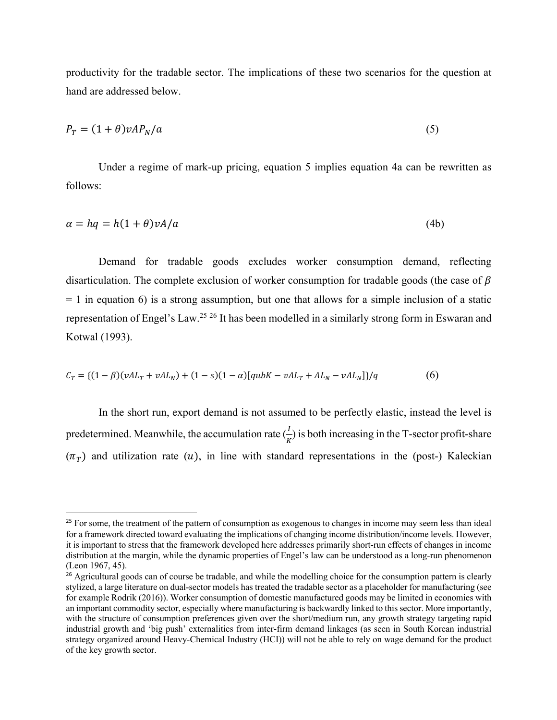productivity for the tradable sector. The implications of these two scenarios for the question at hand are addressed below.

$$
P_T = (1 + \theta)vAP_N/a \tag{5}
$$

Under a regime of mark-up pricing, equation 5 implies equation 4a can be rewritten as follows:

$$
\alpha = hq = h(1+\theta)vA/a \tag{4b}
$$

Demand for tradable goods excludes worker consumption demand, reflecting disarticulation. The complete exclusion of worker consumption for tradable goods (the case of  $\beta$  $= 1$  in equation 6) is a strong assumption, but one that allows for a simple inclusion of a static representation of Engel's Law.25 <sup>26</sup> It has been modelled in a similarly strong form in Eswaran and Kotwal (1993).

$$
C_T = \{(1 - \beta)(\nu A L_T + \nu A L_N) + (1 - s)(1 - \alpha)[q u b K - \nu A L_T + A L_N - \nu A L_N]\}/q
$$
(6)

In the short run, export demand is not assumed to be perfectly elastic, instead the level is predetermined. Meanwhile, the accumulation rate  $(\frac{I}{K})$  is both increasing in the T-sector profit-share  $(\pi_r)$  and utilization rate (u), in line with standard representations in the (post-) Kaleckian

<sup>&</sup>lt;sup>25</sup> For some, the treatment of the pattern of consumption as exogenous to changes in income may seem less than ideal for a framework directed toward evaluating the implications of changing income distribution/income levels. However, it is important to stress that the framework developed here addresses primarily short-run effects of changes in income distribution at the margin, while the dynamic properties of Engel's law can be understood as a long-run phenomenon (Leon 1967, 45).

<sup>&</sup>lt;sup>26</sup> Agricultural goods can of course be tradable, and while the modelling choice for the consumption pattern is clearly stylized, a large literature on dual-sector models has treated the tradable sector as a placeholder for manufacturing (see for example Rodrik (2016)). Worker consumption of domestic manufactured goods may be limited in economies with an important commodity sector, especially where manufacturing is backwardly linked to this sector. More importantly, with the structure of consumption preferences given over the short/medium run, any growth strategy targeting rapid industrial growth and 'big push' externalities from inter-firm demand linkages (as seen in South Korean industrial strategy organized around Heavy-Chemical Industry (HCI)) will not be able to rely on wage demand for the product of the key growth sector.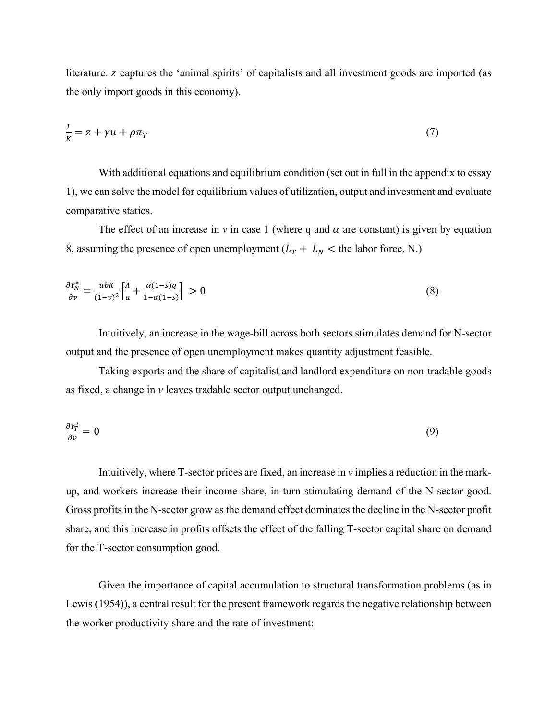literature. *z* captures the 'animal spirits' of capitalists and all investment goods are imported (as the only import goods in this economy).

$$
\frac{I}{K} = z + \gamma u + \rho \pi_T \tag{7}
$$

With additional equations and equilibrium condition (set out in full in the appendix to essay 1), we can solve the model for equilibrium values of utilization, output and investment and evaluate comparative statics.

The effect of an increase in  $\nu$  in case 1 (where q and  $\alpha$  are constant) is given by equation 8, assuming the presence of open unemployment  $(L_T + L_N <$  the labor force, N.)

$$
\frac{\partial Y_N^*}{\partial v} = \frac{ubK}{(1-v)^2} \left[ \frac{A}{a} + \frac{\alpha(1-s)q}{1-\alpha(1-s)} \right] > 0
$$
\n(8)

Intuitively, an increase in the wage-bill across both sectors stimulates demand for N-sector output and the presence of open unemployment makes quantity adjustment feasible.

Taking exports and the share of capitalist and landlord expenditure on non-tradable goods as fixed, a change in *v* leaves tradable sector output unchanged.

$$
\frac{\partial Y_T^*}{\partial v} = 0 \tag{9}
$$

Intuitively, where T-sector prices are fixed, an increase in *v* implies a reduction in the markup, and workers increase their income share, in turn stimulating demand of the N-sector good. Gross profits in the N-sector grow as the demand effect dominates the decline in the N-sector profit share, and this increase in profits offsets the effect of the falling T-sector capital share on demand for the T-sector consumption good.

Given the importance of capital accumulation to structural transformation problems (as in Lewis (1954)), a central result for the present framework regards the negative relationship between the worker productivity share and the rate of investment: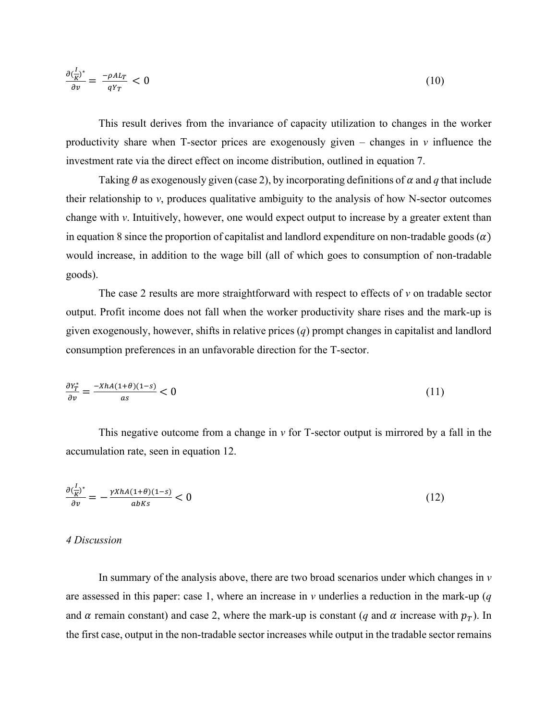$$
\frac{\partial \left(\frac{I}{K}\right)^*}{\partial v} = \frac{-\rho A L_T}{q Y_T} < 0 \tag{10}
$$

This result derives from the invariance of capacity utilization to changes in the worker productivity share when T-sector prices are exogenously given – changes in *v* influence the investment rate via the direct effect on income distribution, outlined in equation 7.

Taking  $\theta$  as exogenously given (case 2), by incorporating definitions of  $\alpha$  and  $q$  that include their relationship to *v*, produces qualitative ambiguity to the analysis of how N-sector outcomes change with *v*. Intuitively, however, one would expect output to increase by a greater extent than in equation 8 since the proportion of capitalist and landlord expenditure on non-tradable goods  $(\alpha)$ would increase, in addition to the wage bill (all of which goes to consumption of non-tradable goods).

The case 2 results are more straightforward with respect to effects of *v* on tradable sector output. Profit income does not fall when the worker productivity share rises and the mark-up is given exogenously, however, shifts in relative prices (*q*) prompt changes in capitalist and landlord consumption preferences in an unfavorable direction for the T-sector.

$$
\frac{\partial Y_T^*}{\partial v} = \frac{-XhA(1+\theta)(1-s)}{as} < 0 \tag{11}
$$

This negative outcome from a change in *v* for T-sector output is mirrored by a fall in the accumulation rate, seen in equation 12.

$$
\frac{\partial \left(\frac{I}{K}\right)^*}{\partial v} = -\frac{\gamma X h A (1+\theta)(1-s)}{ab K s} < 0 \tag{12}
$$

## *4 Discussion*

In summary of the analysis above, there are two broad scenarios under which changes in *v* are assessed in this paper: case 1, where an increase in *v* underlies a reduction in the mark-up (*q*  and  $\alpha$  remain constant) and case 2, where the mark-up is constant (*q* and  $\alpha$  increase with  $p_T$ ). In the first case, output in the non-tradable sector increases while output in the tradable sector remains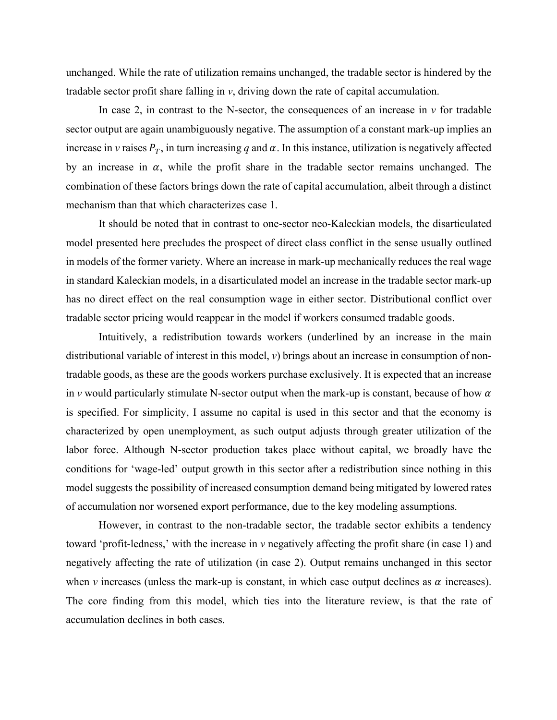unchanged. While the rate of utilization remains unchanged, the tradable sector is hindered by the tradable sector profit share falling in *v*, driving down the rate of capital accumulation.

In case 2, in contrast to the N-sector, the consequences of an increase in  $\nu$  for tradable sector output are again unambiguously negative. The assumption of a constant mark-up implies an increase in *v* raises  $P_T$ , in turn increasing *q* and  $\alpha$ . In this instance, utilization is negatively affected by an increase in  $\alpha$ , while the profit share in the tradable sector remains unchanged. The combination of these factors brings down the rate of capital accumulation, albeit through a distinct mechanism than that which characterizes case 1.

It should be noted that in contrast to one-sector neo-Kaleckian models, the disarticulated model presented here precludes the prospect of direct class conflict in the sense usually outlined in models of the former variety. Where an increase in mark-up mechanically reduces the real wage in standard Kaleckian models, in a disarticulated model an increase in the tradable sector mark-up has no direct effect on the real consumption wage in either sector. Distributional conflict over tradable sector pricing would reappear in the model if workers consumed tradable goods.

Intuitively, a redistribution towards workers (underlined by an increase in the main distributional variable of interest in this model, *v*) brings about an increase in consumption of nontradable goods, as these are the goods workers purchase exclusively. It is expected that an increase in *v* would particularly stimulate N-sector output when the mark-up is constant, because of how  $\alpha$ is specified. For simplicity, I assume no capital is used in this sector and that the economy is characterized by open unemployment, as such output adjusts through greater utilization of the labor force. Although N-sector production takes place without capital, we broadly have the conditions for 'wage-led' output growth in this sector after a redistribution since nothing in this model suggests the possibility of increased consumption demand being mitigated by lowered rates of accumulation nor worsened export performance, due to the key modeling assumptions.

However, in contrast to the non-tradable sector, the tradable sector exhibits a tendency toward 'profit-ledness,' with the increase in *v* negatively affecting the profit share (in case 1) and negatively affecting the rate of utilization (in case 2). Output remains unchanged in this sector when *v* increases (unless the mark-up is constant, in which case output declines as  $\alpha$  increases). The core finding from this model, which ties into the literature review, is that the rate of accumulation declines in both cases.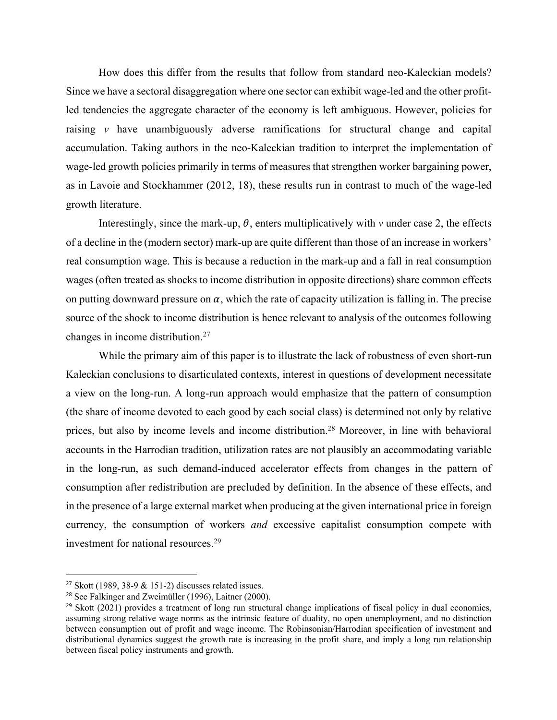How does this differ from the results that follow from standard neo-Kaleckian models? Since we have a sectoral disaggregation where one sector can exhibit wage-led and the other profitled tendencies the aggregate character of the economy is left ambiguous. However, policies for raising *v* have unambiguously adverse ramifications for structural change and capital accumulation. Taking authors in the neo-Kaleckian tradition to interpret the implementation of wage-led growth policies primarily in terms of measures that strengthen worker bargaining power, as in Lavoie and Stockhammer (2012, 18), these results run in contrast to much of the wage-led growth literature.

Interestingly, since the mark-up,  $\theta$ , enters multiplicatively with  $\nu$  under case 2, the effects of a decline in the (modern sector) mark-up are quite different than those of an increase in workers' real consumption wage. This is because a reduction in the mark-up and a fall in real consumption wages (often treated as shocks to income distribution in opposite directions) share common effects on putting downward pressure on  $\alpha$ , which the rate of capacity utilization is falling in. The precise source of the shock to income distribution is hence relevant to analysis of the outcomes following changes in income distribution.27

While the primary aim of this paper is to illustrate the lack of robustness of even short-run Kaleckian conclusions to disarticulated contexts, interest in questions of development necessitate a view on the long-run. A long-run approach would emphasize that the pattern of consumption (the share of income devoted to each good by each social class) is determined not only by relative prices, but also by income levels and income distribution.28 Moreover, in line with behavioral accounts in the Harrodian tradition, utilization rates are not plausibly an accommodating variable in the long-run, as such demand-induced accelerator effects from changes in the pattern of consumption after redistribution are precluded by definition. In the absence of these effects, and in the presence of a large external market when producing at the given international price in foreign currency, the consumption of workers *and* excessive capitalist consumption compete with investment for national resources.29

<sup>&</sup>lt;sup>27</sup> Skott (1989, 38-9  $\&$  151-2) discusses related issues.

<sup>28</sup> See Falkinger and Zweimüller (1996), Laitner (2000).

 $29$  Skott (2021) provides a treatment of long run structural change implications of fiscal policy in dual economies, assuming strong relative wage norms as the intrinsic feature of duality, no open unemployment, and no distinction between consumption out of profit and wage income. The Robinsonian/Harrodian specification of investment and distributional dynamics suggest the growth rate is increasing in the profit share, and imply a long run relationship between fiscal policy instruments and growth.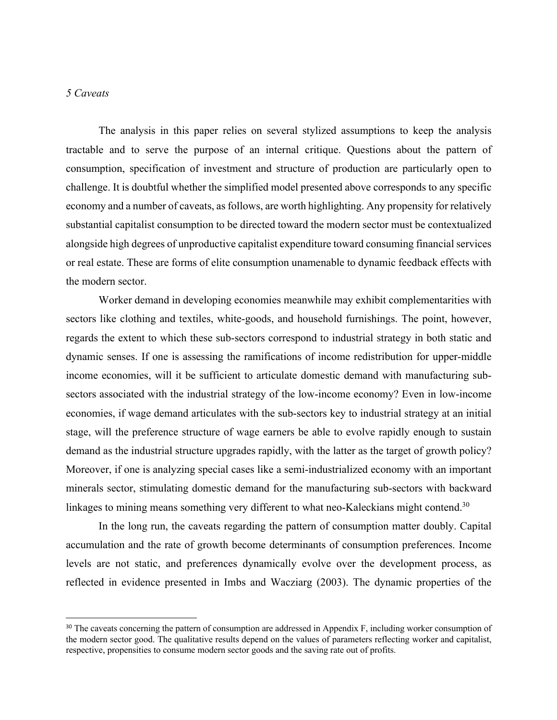#### *5 Caveats*

The analysis in this paper relies on several stylized assumptions to keep the analysis tractable and to serve the purpose of an internal critique. Questions about the pattern of consumption, specification of investment and structure of production are particularly open to challenge. It is doubtful whether the simplified model presented above corresponds to any specific economy and a number of caveats, as follows, are worth highlighting. Any propensity for relatively substantial capitalist consumption to be directed toward the modern sector must be contextualized alongside high degrees of unproductive capitalist expenditure toward consuming financial services or real estate. These are forms of elite consumption unamenable to dynamic feedback effects with the modern sector.

Worker demand in developing economies meanwhile may exhibit complementarities with sectors like clothing and textiles, white-goods, and household furnishings. The point, however, regards the extent to which these sub-sectors correspond to industrial strategy in both static and dynamic senses. If one is assessing the ramifications of income redistribution for upper-middle income economies, will it be sufficient to articulate domestic demand with manufacturing subsectors associated with the industrial strategy of the low-income economy? Even in low-income economies, if wage demand articulates with the sub-sectors key to industrial strategy at an initial stage, will the preference structure of wage earners be able to evolve rapidly enough to sustain demand as the industrial structure upgrades rapidly, with the latter as the target of growth policy? Moreover, if one is analyzing special cases like a semi-industrialized economy with an important minerals sector, stimulating domestic demand for the manufacturing sub-sectors with backward linkages to mining means something very different to what neo-Kaleckians might contend.<sup>30</sup>

In the long run, the caveats regarding the pattern of consumption matter doubly. Capital accumulation and the rate of growth become determinants of consumption preferences. Income levels are not static, and preferences dynamically evolve over the development process, as reflected in evidence presented in Imbs and Wacziarg (2003). The dynamic properties of the

<sup>&</sup>lt;sup>30</sup> The caveats concerning the pattern of consumption are addressed in Appendix F, including worker consumption of the modern sector good. The qualitative results depend on the values of parameters reflecting worker and capitalist, respective, propensities to consume modern sector goods and the saving rate out of profits.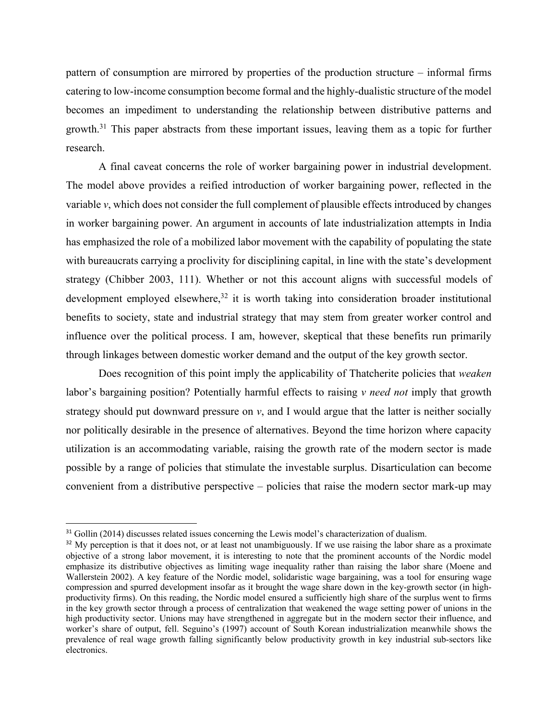pattern of consumption are mirrored by properties of the production structure – informal firms catering to low-income consumption become formal and the highly-dualistic structure of the model becomes an impediment to understanding the relationship between distributive patterns and growth.31 This paper abstracts from these important issues, leaving them as a topic for further research.

A final caveat concerns the role of worker bargaining power in industrial development. The model above provides a reified introduction of worker bargaining power, reflected in the variable *v*, which does not consider the full complement of plausible effects introduced by changes in worker bargaining power. An argument in accounts of late industrialization attempts in India has emphasized the role of a mobilized labor movement with the capability of populating the state with bureaucrats carrying a proclivity for disciplining capital, in line with the state's development strategy (Chibber 2003, 111). Whether or not this account aligns with successful models of development employed elsewhere,<sup>32</sup> it is worth taking into consideration broader institutional benefits to society, state and industrial strategy that may stem from greater worker control and influence over the political process. I am, however, skeptical that these benefits run primarily through linkages between domestic worker demand and the output of the key growth sector.

Does recognition of this point imply the applicability of Thatcherite policies that *weaken* labor's bargaining position? Potentially harmful effects to raising *v need not* imply that growth strategy should put downward pressure on *v*, and I would argue that the latter is neither socially nor politically desirable in the presence of alternatives. Beyond the time horizon where capacity utilization is an accommodating variable, raising the growth rate of the modern sector is made possible by a range of policies that stimulate the investable surplus. Disarticulation can become convenient from a distributive perspective – policies that raise the modern sector mark-up may

<sup>&</sup>lt;sup>31</sup> Gollin (2014) discusses related issues concerning the Lewis model's characterization of dualism.

 $32$  My perception is that it does not, or at least not unambiguously. If we use raising the labor share as a proximate objective of a strong labor movement, it is interesting to note that the prominent accounts of the Nordic model emphasize its distributive objectives as limiting wage inequality rather than raising the labor share (Moene and Wallerstein 2002). A key feature of the Nordic model, solidaristic wage bargaining, was a tool for ensuring wage compression and spurred development insofar as it brought the wage share down in the key-growth sector (in highproductivity firms). On this reading, the Nordic model ensured a sufficiently high share of the surplus went to firms in the key growth sector through a process of centralization that weakened the wage setting power of unions in the high productivity sector. Unions may have strengthened in aggregate but in the modern sector their influence, and worker's share of output, fell. Seguino's (1997) account of South Korean industrialization meanwhile shows the prevalence of real wage growth falling significantly below productivity growth in key industrial sub-sectors like electronics.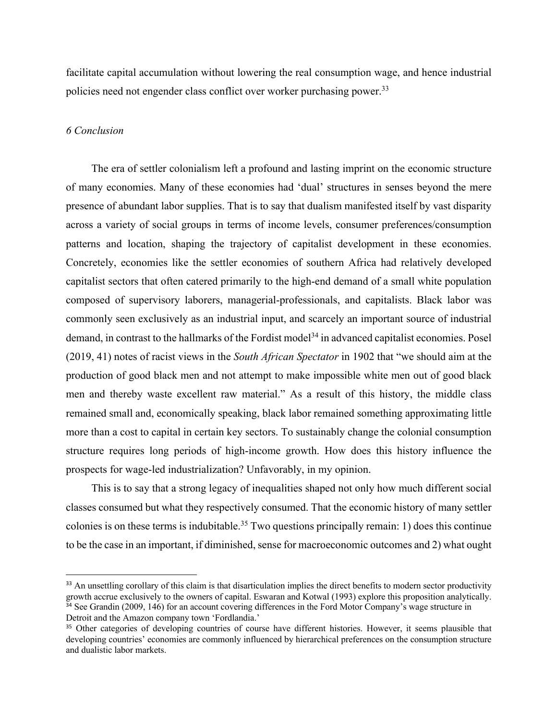facilitate capital accumulation without lowering the real consumption wage, and hence industrial policies need not engender class conflict over worker purchasing power.<sup>33</sup>

# *6 Conclusion*

The era of settler colonialism left a profound and lasting imprint on the economic structure of many economies. Many of these economies had 'dual' structures in senses beyond the mere presence of abundant labor supplies. That is to say that dualism manifested itself by vast disparity across a variety of social groups in terms of income levels, consumer preferences/consumption patterns and location, shaping the trajectory of capitalist development in these economies. Concretely, economies like the settler economies of southern Africa had relatively developed capitalist sectors that often catered primarily to the high-end demand of a small white population composed of supervisory laborers, managerial-professionals, and capitalists. Black labor was commonly seen exclusively as an industrial input, and scarcely an important source of industrial demand, in contrast to the hallmarks of the Fordist model<sup>34</sup> in advanced capitalist economies. Posel (2019, 41) notes of racist views in the *South African Spectator* in 1902 that "we should aim at the production of good black men and not attempt to make impossible white men out of good black men and thereby waste excellent raw material." As a result of this history, the middle class remained small and, economically speaking, black labor remained something approximating little more than a cost to capital in certain key sectors. To sustainably change the colonial consumption structure requires long periods of high-income growth. How does this history influence the prospects for wage-led industrialization? Unfavorably, in my opinion.

This is to say that a strong legacy of inequalities shaped not only how much different social classes consumed but what they respectively consumed. That the economic history of many settler colonies is on these terms is indubitable.<sup>35</sup> Two questions principally remain: 1) does this continue to be the case in an important, if diminished, sense for macroeconomic outcomes and 2) what ought

<sup>&</sup>lt;sup>33</sup> An unsettling corollary of this claim is that disarticulation implies the direct benefits to modern sector productivity growth accrue exclusively to the owners of capital. Eswaran and Kotwal (1993) explore this proposition analytically.

 $34$  See Grandin (2009, 146) for an account covering differences in the Ford Motor Company's wage structure in Detroit and the Amazon company town 'Fordlandia.'

<sup>&</sup>lt;sup>35</sup> Other categories of developing countries of course have different histories. However, it seems plausible that developing countries' economies are commonly influenced by hierarchical preferences on the consumption structure and dualistic labor markets.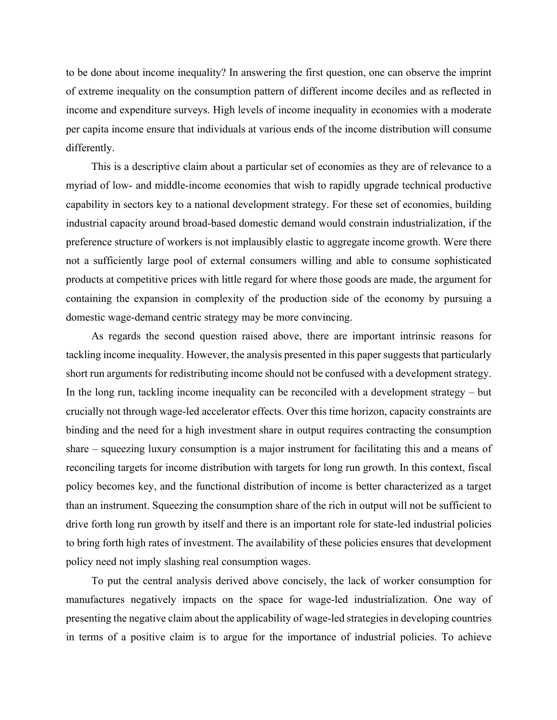to be done about income inequality? In answering the first question, one can observe the imprint of extreme inequality on the consumption pattern of different income deciles and as reflected in income and expenditure surveys. High levels of income inequality in economies with a moderate per capita income ensure that individuals at various ends of the income distribution will consume differently.

This is a descriptive claim about a particular set of economies as they are of relevance to a myriad of low- and middle-income economies that wish to rapidly upgrade technical productive capability in sectors key to a national development strategy. For these set of economies, building industrial capacity around broad-based domestic demand would constrain industrialization, if the preference structure of workers is not implausibly elastic to aggregate income growth. Were there not a sufficiently large pool of external consumers willing and able to consume sophisticated products at competitive prices with little regard for where those goods are made, the argument for containing the expansion in complexity of the production side of the economy by pursuing a domestic wage-demand centric strategy may be more convincing.

As regards the second question raised above, there are important intrinsic reasons for tackling income inequality. However, the analysis presented in this paper suggests that particularly short run arguments for redistributing income should not be confused with a development strategy. In the long run, tackling income inequality can be reconciled with a development strategy – but crucially not through wage-led accelerator effects. Over this time horizon, capacity constraints are binding and the need for a high investment share in output requires contracting the consumption share – squeezing luxury consumption is a major instrument for facilitating this and a means of reconciling targets for income distribution with targets for long run growth. In this context, fiscal policy becomes key, and the functional distribution of income is better characterized as a target than an instrument. Squeezing the consumption share of the rich in output will not be sufficient to drive forth long run growth by itself and there is an important role for state-led industrial policies to bring forth high rates of investment. The availability of these policies ensures that development policy need not imply slashing real consumption wages.

To put the central analysis derived above concisely, the lack of worker consumption for manufactures negatively impacts on the space for wage-led industrialization. One way of presenting the negative claim about the applicability of wage-led strategies in developing countries in terms of a positive claim is to argue for the importance of industrial policies. To achieve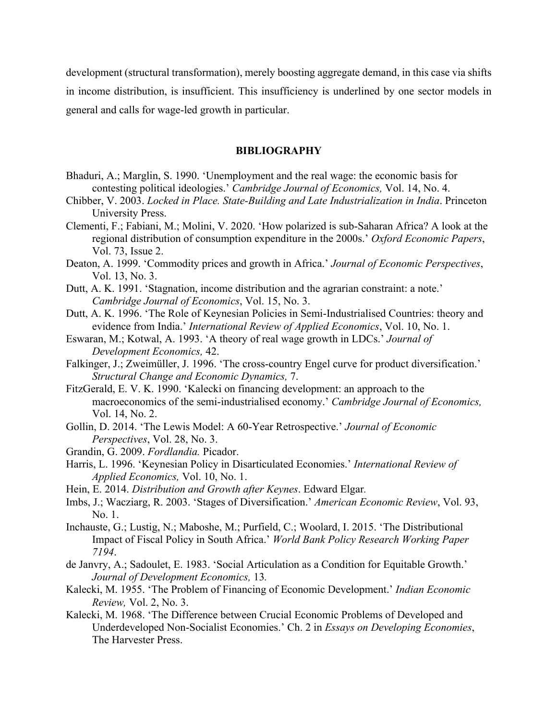development (structural transformation), merely boosting aggregate demand, in this case via shifts in income distribution, is insufficient. This insufficiency is underlined by one sector models in general and calls for wage-led growth in particular.

#### **BIBLIOGRAPHY**

- Bhaduri, A.; Marglin, S. 1990. 'Unemployment and the real wage: the economic basis for contesting political ideologies.' *Cambridge Journal of Economics,* Vol. 14, No. 4.
- Chibber, V. 2003. *Locked in Place. State-Building and Late Industrialization in India*. Princeton University Press.
- Clementi, F.; Fabiani, M.; Molini, V. 2020. 'How polarized is sub-Saharan Africa? A look at the regional distribution of consumption expenditure in the 2000s.' *Oxford Economic Papers*, Vol. 73, Issue 2.
- Deaton, A. 1999. 'Commodity prices and growth in Africa.' *Journal of Economic Perspectives*, Vol. 13, No. 3.
- Dutt, A. K. 1991. 'Stagnation, income distribution and the agrarian constraint: a note.' *Cambridge Journal of Economics*, Vol. 15, No. 3.
- Dutt, A. K. 1996. 'The Role of Keynesian Policies in Semi-Industrialised Countries: theory and evidence from India.' *International Review of Applied Economics*, Vol. 10, No. 1.
- Eswaran, M.; Kotwal, A. 1993. 'A theory of real wage growth in LDCs.' *Journal of Development Economics,* 42.
- Falkinger, J.; Zweimüller, J. 1996. 'The cross-country Engel curve for product diversification.' *Structural Change and Economic Dynamics,* 7.
- FitzGerald, E. V. K. 1990. 'Kalecki on financing development: an approach to the macroeconomics of the semi-industrialised economy.' *Cambridge Journal of Economics,*  Vol. 14, No. 2.
- Gollin, D. 2014. 'The Lewis Model: A 60-Year Retrospective.' *Journal of Economic Perspectives*, Vol. 28, No. 3.
- Grandin, G. 2009. *Fordlandia.* Picador.
- Harris, L. 1996. 'Keynesian Policy in Disarticulated Economies.' *International Review of Applied Economics,* Vol. 10, No. 1.
- Hein, E. 2014. *Distribution and Growth after Keynes*. Edward Elgar*.*
- Imbs, J.; Wacziarg, R. 2003. 'Stages of Diversification.' *American Economic Review*, Vol. 93, No. 1.
- Inchauste, G.; Lustig, N.; Maboshe, M.; Purfield, C.; Woolard, I. 2015. 'The Distributional Impact of Fiscal Policy in South Africa.' *World Bank Policy Research Working Paper 7194*.
- de Janvry, A.; Sadoulet, E. 1983. 'Social Articulation as a Condition for Equitable Growth.' *Journal of Development Economics,* 13*.*
- Kalecki, M. 1955. 'The Problem of Financing of Economic Development.' *Indian Economic Review,* Vol. 2, No. 3.
- Kalecki, M. 1968. 'The Difference between Crucial Economic Problems of Developed and Underdeveloped Non-Socialist Economies.' Ch. 2 in *Essays on Developing Economies*, The Harvester Press.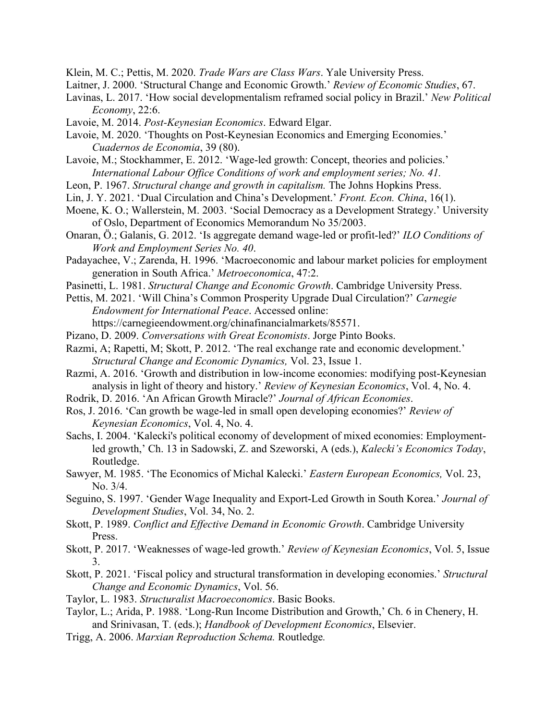Klein, M. C.; Pettis, M. 2020. *Trade Wars are Class Wars*. Yale University Press.

Laitner, J. 2000. 'Structural Change and Economic Growth.' *Review of Economic Studies*, 67.

Lavinas, L. 2017. 'How social developmentalism reframed social policy in Brazil.' *New Political Economy*, 22:6.

Lavoie, M. 2014. *Post-Keynesian Economics*. Edward Elgar.

Lavoie, M. 2020. 'Thoughts on Post-Keynesian Economics and Emerging Economies.' *Cuadernos de Economia*, 39 (80).

- Lavoie, M.; Stockhammer, E. 2012. 'Wage-led growth: Concept, theories and policies.' *International Labour Office Conditions of work and employment series; No. 41.*
- Leon, P. 1967. *Structural change and growth in capitalism.* The Johns Hopkins Press.
- Lin, J. Y. 2021. 'Dual Circulation and China's Development.' *Front. Econ. China*, 16(1).
- Moene, K. O.; Wallerstein, M. 2003. 'Social Democracy as a Development Strategy.' University of Oslo, Department of Economics Memorandum No 35/2003.
- Onaran, Ö.; Galanis, G. 2012. 'Is aggregate demand wage-led or profit-led?' *ILO Conditions of Work and Employment Series No. 40*.
- Padayachee, V.; Zarenda, H. 1996. 'Macroeconomic and labour market policies for employment generation in South Africa.' *Metroeconomica*, 47:2.
- Pasinetti, L. 1981. *Structural Change and Economic Growth*. Cambridge University Press.

Pettis, M. 2021. 'Will China's Common Prosperity Upgrade Dual Circulation?' *Carnegie Endowment for International Peace*. Accessed online: https://carnegieendowment.org/chinafinancialmarkets/85571.

- Pizano, D. 2009. *Conversations with Great Economists*. Jorge Pinto Books.
- Razmi, A; Rapetti, M; Skott, P. 2012. 'The real exchange rate and economic development.' *Structural Change and Economic Dynamics,* Vol. 23, Issue 1.
- Razmi, A. 2016. 'Growth and distribution in low-income economies: modifying post-Keynesian analysis in light of theory and history.' *Review of Keynesian Economics*, Vol. 4, No. 4.
- Rodrik, D. 2016. 'An African Growth Miracle?' *Journal of African Economies*.
- Ros, J. 2016. 'Can growth be wage-led in small open developing economies?' *Review of Keynesian Economics*, Vol. 4, No. 4.
- Sachs, I. 2004. 'Kalecki's political economy of development of mixed economies: Employmentled growth,' Ch. 13 in Sadowski, Z. and Szeworski, A (eds.), *Kalecki's Economics Today*, Routledge.
- Sawyer, M. 1985. 'The Economics of Michal Kalecki.' *Eastern European Economics,* Vol. 23, No. 3/4.
- Seguino, S. 1997. 'Gender Wage Inequality and Export-Led Growth in South Korea.' *Journal of Development Studies*, Vol. 34, No. 2.
- Skott, P. 1989. *Conflict and Effective Demand in Economic Growth*. Cambridge University Press.
- Skott, P. 2017. 'Weaknesses of wage-led growth.' *Review of Keynesian Economics*, Vol. 5, Issue 3.
- Skott, P. 2021. 'Fiscal policy and structural transformation in developing economies.' *Structural Change and Economic Dynamics*, Vol. 56.
- Taylor, L. 1983. *Structuralist Macroeconomics*. Basic Books.
- Taylor, L.; Arida, P. 1988. 'Long-Run Income Distribution and Growth,' Ch. 6 in Chenery, H. and Srinivasan, T. (eds.); *Handbook of Development Economics*, Elsevier.
- Trigg, A. 2006. *Marxian Reproduction Schema.* Routledge*.*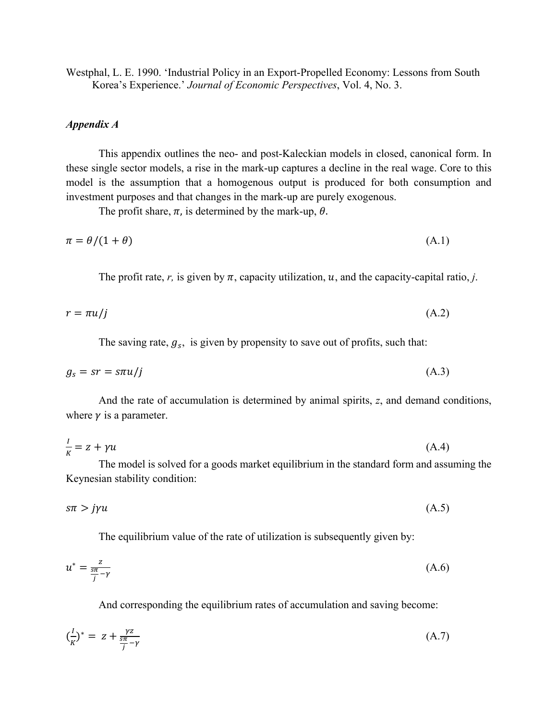Westphal, L. E. 1990. 'Industrial Policy in an Export-Propelled Economy: Lessons from South Korea's Experience.' *Journal of Economic Perspectives*, Vol. 4, No. 3.

### *Appendix A*

This appendix outlines the neo- and post-Kaleckian models in closed, canonical form. In these single sector models, a rise in the mark-up captures a decline in the real wage. Core to this model is the assumption that a homogenous output is produced for both consumption and investment purposes and that changes in the mark-up are purely exogenous.

The profit share,  $\pi$ , is determined by the mark-up,  $\theta$ .

$$
\pi = \theta/(1+\theta) \tag{A.1}
$$

The profit rate, r, is given by  $\pi$ , capacity utilization, u, and the capacity-capital ratio, *j*.

$$
r = \pi u / j \tag{A.2}
$$

The saving rate,  $g_s$ , is given by propensity to save out of profits, such that:

$$
g_s = sr = s\pi u/j \tag{A.3}
$$

And the rate of accumulation is determined by animal spirits, *z*, and demand conditions, where  $\gamma$  is a parameter.

$$
\frac{l}{K} = z + \gamma u \tag{A.4}
$$

The model is solved for a goods market equilibrium in the standard form and assuming the Keynesian stability condition:

$$
s\pi > j\gamma u\tag{A.5}
$$

The equilibrium value of the rate of utilization is subsequently given by:

$$
u^* = \frac{z}{\frac{5\pi}{j} - \gamma} \tag{A.6}
$$

And corresponding the equilibrium rates of accumulation and saving become:

$$
\left(\frac{l}{K}\right)^{*} = z + \frac{\gamma z}{\frac{s\pi}{j} - \gamma} \tag{A.7}
$$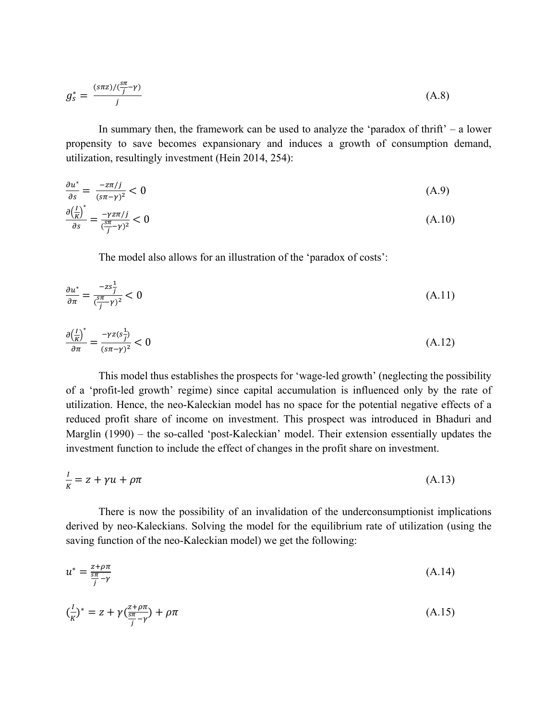$$
g_s^* = \frac{(s\pi z)/(\frac{s\pi}{j} - \gamma)}{j} \tag{A.8}
$$

In summary then, the framework can be used to analyze the 'paradox of thrift'  $-$  a lower propensity to save becomes expansionary and induces a growth of consumption demand, utilization, resultingly investment (Hein 2014, 254):

$$
\frac{\partial u^*}{\partial s} = \frac{-z\pi/j}{(s\pi - \gamma)^2} < 0 \tag{A.9}
$$

$$
\frac{\partial \left(\frac{I}{K}\right)^{*}}{\partial s} = \frac{-\gamma z \pi / j}{(\frac{s\pi}{j} - \gamma)^2} < 0
$$
\n(A.10)

The model also allows for an illustration of the 'paradox of costs':

$$
\frac{\partial u^*}{\partial \pi} = \frac{-zs_j^2}{(\frac{sx}{j}-\gamma)^2} < 0 \tag{A.11}
$$

$$
\frac{\partial \left(\frac{I}{K}\right)^{*}}{\partial \pi} = \frac{-\gamma z(s_j^2)}{(s\pi - \gamma)^2} < 0 \tag{A.12}
$$

This model thus establishes the prospects for 'wage-led growth' (neglecting the possibility of a 'profit-led growth' regime) since capital accumulation is influenced only by the rate of utilization. Hence, the neo-Kaleckian model has no space for the potential negative effects of a reduced profit share of income on investment. This prospect was introduced in Bhaduri and Marglin (1990) – the so-called 'post-Kaleckian' model. Their extension essentially updates the investment function to include the effect of changes in the profit share on investment.

$$
\frac{I}{K} = z + \gamma u + \rho \pi \tag{A.13}
$$

There is now the possibility of an invalidation of the underconsumptionist implications derived by neo-Kaleckians. Solving the model for the equilibrium rate of utilization (using the saving function of the neo-Kaleckian model) we get the following:

$$
u^* = \frac{z + \rho \pi}{\frac{s\pi}{j} - \gamma} \tag{A.14}
$$

$$
\left(\frac{l}{K}\right)^{*} = z + \gamma \left(\frac{z+\rho\pi}{\frac{s\pi}{j}-\gamma}\right) + \rho\pi
$$
\n(A.15)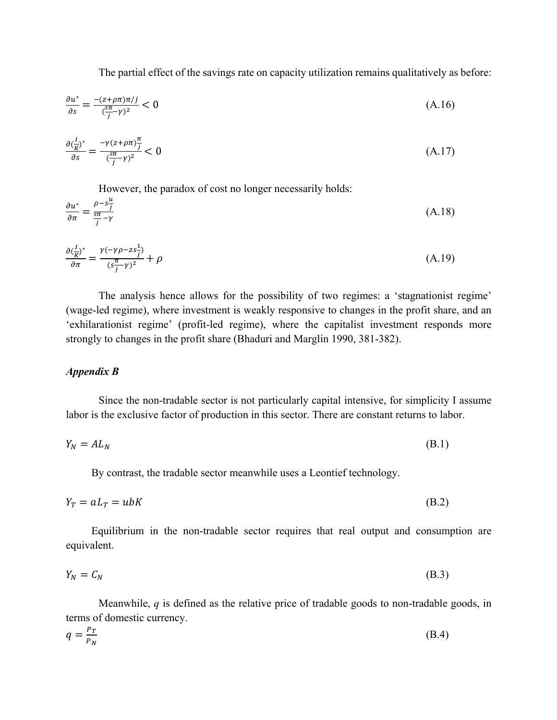The partial effect of the savings rate on capacity utilization remains qualitatively as before:

$$
\frac{\partial u^*}{\partial s} = \frac{-(z + \rho \pi)\pi / j}{(\frac{s\pi}{j} - \gamma)^2} < 0 \tag{A.16}
$$

$$
\frac{\partial \left(\frac{I}{K}\right)^*}{\partial s} = \frac{-\gamma (z + \rho \pi) \frac{\pi}{j}}{\left(\frac{s\pi}{j} - \gamma\right)^2} < 0 \tag{A.17}
$$

However, the paradox of cost no longer necessarily holds:

$$
\frac{\partial u^*}{\partial \pi} = \frac{\rho - s_j^{\underline{u}}}{\frac{s\pi}{j} - \gamma} \tag{A.18}
$$

$$
\frac{\partial \left(\frac{I}{K}\right)^*}{\partial \pi} = \frac{\gamma(-\gamma \rho - z s_j^2)}{(s_j^2 - \gamma)^2} + \rho \tag{A.19}
$$

The analysis hence allows for the possibility of two regimes: a 'stagnationist regime' (wage-led regime), where investment is weakly responsive to changes in the profit share, and an 'exhilarationist regime' (profit-led regime), where the capitalist investment responds more strongly to changes in the profit share (Bhaduri and Marglin 1990, 381-382).

# *Appendix B*

Since the non-tradable sector is not particularly capital intensive, for simplicity I assume labor is the exclusive factor of production in this sector. There are constant returns to labor.

$$
Y_N = A L_N \tag{B.1}
$$

By contrast, the tradable sector meanwhile uses a Leontief technology.

$$
Y_T = aL_T = ubK \tag{B.2}
$$

Equilibrium in the non-tradable sector requires that real output and consumption are equivalent.

$$
Y_N = C_N \tag{B.3}
$$

Meanwhile, *q* is defined as the relative price of tradable goods to non-tradable goods, in terms of domestic currency.

$$
q = \frac{P_T}{P_N} \tag{B.4}
$$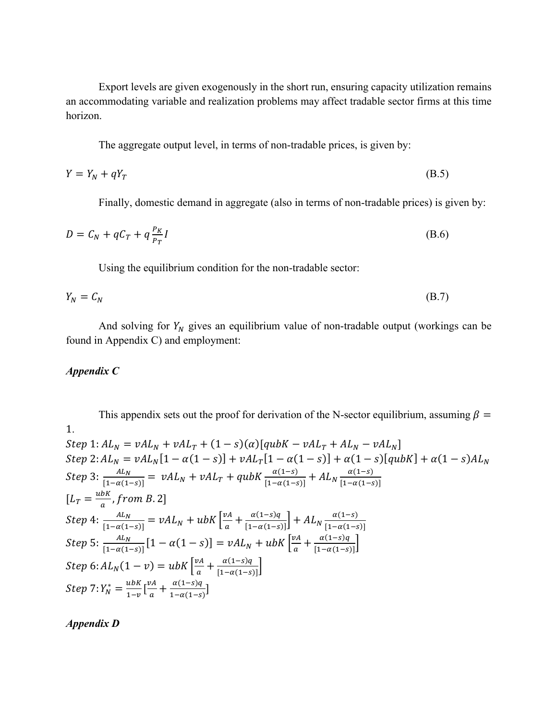Export levels are given exogenously in the short run, ensuring capacity utilization remains an accommodating variable and realization problems may affect tradable sector firms at this time horizon.

The aggregate output level, in terms of non-tradable prices, is given by:

$$
Y = Y_N + qY_T \tag{B.5}
$$

Finally, domestic demand in aggregate (also in terms of non-tradable prices) is given by:

$$
D = C_N + qC_T + q\frac{P_K}{P_T}I\tag{B.6}
$$

Using the equilibrium condition for the non-tradable sector:

$$
Y_N = C_N \tag{B.7}
$$

And solving for  $Y_N$  gives an equilibrium value of non-tradable output (workings can be found in Appendix C) and employment:

#### *Appendix C*

This appendix sets out the proof for derivation of the N-sector equilibrium, assuming  $\beta =$ 1.  $Step 1: AL<sub>N</sub> = vAL<sub>N</sub> + vAL<sub>T</sub> + (1 - s)(\alpha)[qubK - vAL<sub>T</sub> + AL<sub>N</sub> - vAL<sub>N</sub>]$  $Step 2: AL<sub>N</sub> = vAL<sub>N</sub>[1 - \alpha(1 - s)] + vAL<sub>T</sub>[1 - \alpha(1 - s)] + \alpha(1 - s)[qubK] + \alpha(1 - s)AL<sub>N</sub>$  $Step 3: \frac{AL_N}{[1-\alpha(1-s)]} = \nu A L_N + \nu A L_T + q \nu b K \frac{\alpha(1-s)}{[1-\alpha(1-s)]} + A L_N \frac{\alpha(1-s)}{[1-\alpha(1-s)]}$  $\left[1-\alpha(1-s)\right]$  $[L_T = \frac{ubK}{a}, from B. 2]$  $Step\ 4: \frac{AL_N}{[1-\alpha(1-s)]} = vAL_N + ubK\left[\frac{vA}{a} + \frac{\alpha(1-s)q}{[1-\alpha(1-s)]}\right] + AL_N\frac{\alpha(1-s)}{[1-\alpha(1-s)]}$  $\left[1-\alpha(1-s)\right]$ Step 5:  $\frac{AL_N}{11 - N}$  $\frac{AL_N}{[1-\alpha(1-s)]} [1-\alpha(1-s)] = vAL_N + ubK \left[ \frac{v_A}{a} + \frac{\alpha(1-s)q}{[1-\alpha(1-s)]} \right]$  $Step 6: AL<sub>N</sub>(1 - v) = ubK \left[ \frac{v_{A}}{a} + \frac{\alpha(1 - s)q}{[1 - \alpha(1 - s)]} \right]$ Step 7:  $Y_N^* = \frac{ubK}{1-v} \left[ \frac{vA}{a} + \frac{\alpha (1-s)q}{1-\alpha (1-s)} \right]$ 

*Appendix D*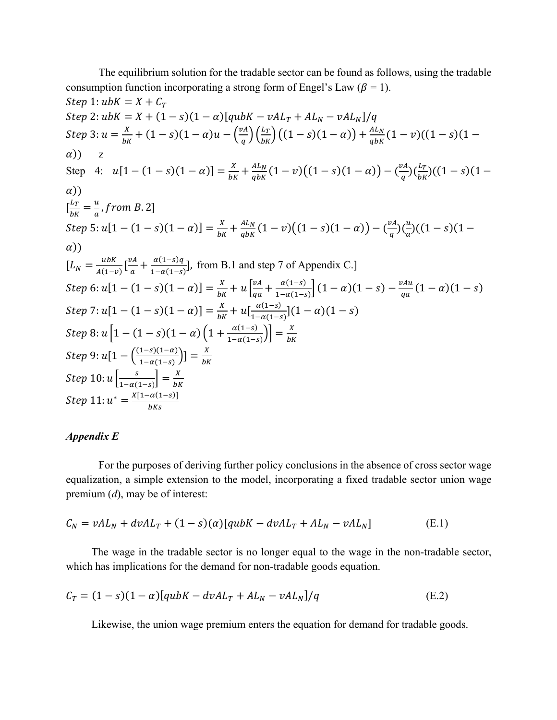The equilibrium solution for the tradable sector can be found as follows, using the tradable consumption function incorporating a strong form of Engel's Law ( $\beta = 1$ ). Step 1:  $ubK = X + C_T$  $Step 2: ubK = X + (1 - s)(1 - \alpha)[qubK - vAL_T + AL_N - vAL_N]/q$ Step 3:  $u = \frac{x}{bK} + (1-s)(1-\alpha)u - \left(\frac{vA}{q}\right)\left(\frac{L_T}{bK}\right)\left((1-s)(1-\alpha)\right) + \frac{AL_N}{q bK}(1-v)((1-s)(1-\alpha))$  $\alpha$ ) z Step 4:  $u[1 - (1 - s)(1 - \alpha)] = \frac{x}{bK} + \frac{AL_N}{qbK}(1 - v)((1 - s)(1 - \alpha)) - (\frac{vA}{q})(\frac{L_T}{bK})((1 - s)(1 - \alpha))$  $\alpha$ ))  $\left[\frac{L_T}{bK} = \frac{u}{a}, from B. 2\right]$ Step 5:  $u[1 - (1 - s)(1 - \alpha)] = \frac{x}{bK} + \frac{AL_N}{q bK} (1 - v)((1 - s)(1 - \alpha)) - (\frac{vA}{q})(\frac{u}{a})$  $\frac{u}{a}$ )((1 – s)(1 –  $\alpha$ ))  $[L_N = \frac{ubK}{A(1-v)} \left[ \frac{vA}{a} + \frac{\alpha(1-s)q}{1-\alpha(1-s)} \right]$ , from B.1 and step 7 of Appendix C.] Step 6:  $u[1 - (1 - s)(1 - a)] = \frac{x}{bK} + u \left[ \frac{vA}{qa} \right]$  $\frac{\nu A}{q a} + \frac{\alpha (1-s)}{1-\alpha (1-s)} \Big] (1-\alpha) (1-s) - \frac{\nu A u}{q a} (1-\alpha) (1-s)$ Step 7:  $u[1-(1-s)(1-\alpha)] = \frac{x}{bK} + u[\frac{\alpha(1-s)}{1-\alpha(1-s)}](1-\alpha)(1-s)$ Step 8:  $u\left[1 - (1-s)(1-\alpha)\left(1 + \frac{\alpha(1-s)}{1-\alpha(1-s)}\right)\right] = \frac{X}{bK}$  $Step 9: u[1 - \left(\frac{(1-s)(1-a)}{1-\alpha(1-s)}\right)] = \frac{x}{bK}$ Step  $10: u\left[\frac{s}{1-\alpha(1-s)}\right] = \frac{X}{bK}$  $Step 11: u^* = \frac{X[1 - \alpha(1-s)]}{bKs}$ 

#### *Appendix E*

For the purposes of deriving further policy conclusions in the absence of cross sector wage equalization, a simple extension to the model, incorporating a fixed tradable sector union wage premium (*d*), may be of interest:

$$
C_N = vAL_N + dvAL_T + (1 - s)(\alpha)[qubK - dvAL_T + AL_N - vAL_N]
$$
(E.1)

The wage in the tradable sector is no longer equal to the wage in the non-tradable sector, which has implications for the demand for non-tradable goods equation.

$$
C_T = (1 - s)(1 - \alpha)[qubK - dvAL_T + AL_N - vAL_N]/q
$$
 (E.2)

Likewise, the union wage premium enters the equation for demand for tradable goods.